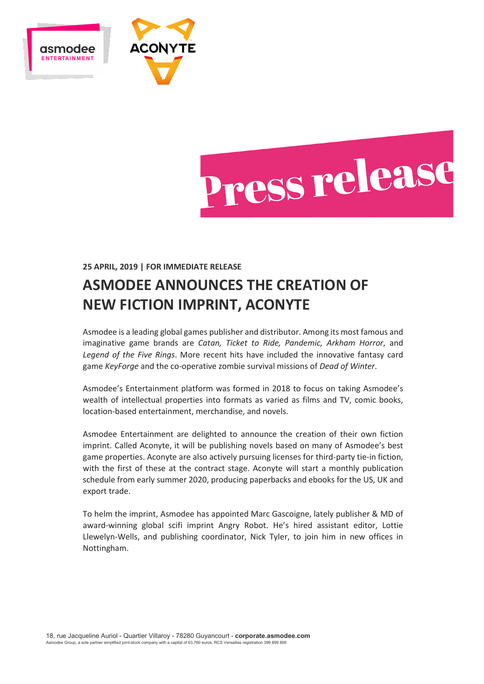



## **25 APRIL, 2019 | FOR IMMEDIATE RELEASE**

# **ASMODEE ANNOUNCES THE CREATION OF NEW FICTION IMPRINT, ACONYTE**

Asmodee is a leading global games publisher and distributor. Among its most famous and imaginative game brands are *Catan, Ticket to Ride, Pandemic, Arkham Horror*, and *Legend of the Five Rings*. More recent hits have included the innovative fantasy card game *KeyForge* and the co-operative zombie survival missions of *Dead of Winter*.

Asmodee's Entertainment platform was formed in 2018 to focus on taking Asmodee's wealth of intellectual properties into formats as varied as films and TV, comic books, location-based entertainment, merchandise, and novels.

Asmodee Entertainment are delighted to announce the creation of their own fiction imprint. Called Aconyte, it will be publishing novels based on many of Asmodee's best game properties. Aconyte are also actively pursuing licenses for third-party tie-in fiction, with the first of these at the contract stage. Aconyte will start a monthly publication schedule from early summer 2020, producing paperbacks and ebooks for the US, UK and export trade.

To helm the imprint, Asmodee has appointed Marc Gascoigne, lately publisher & MD of award-winning global scifi imprint Angry Robot. He's hired assistant editor, Lottie Llewelyn-Wells, and publishing coordinator, Nick Tyler, to join him in new offices in Nottingham.